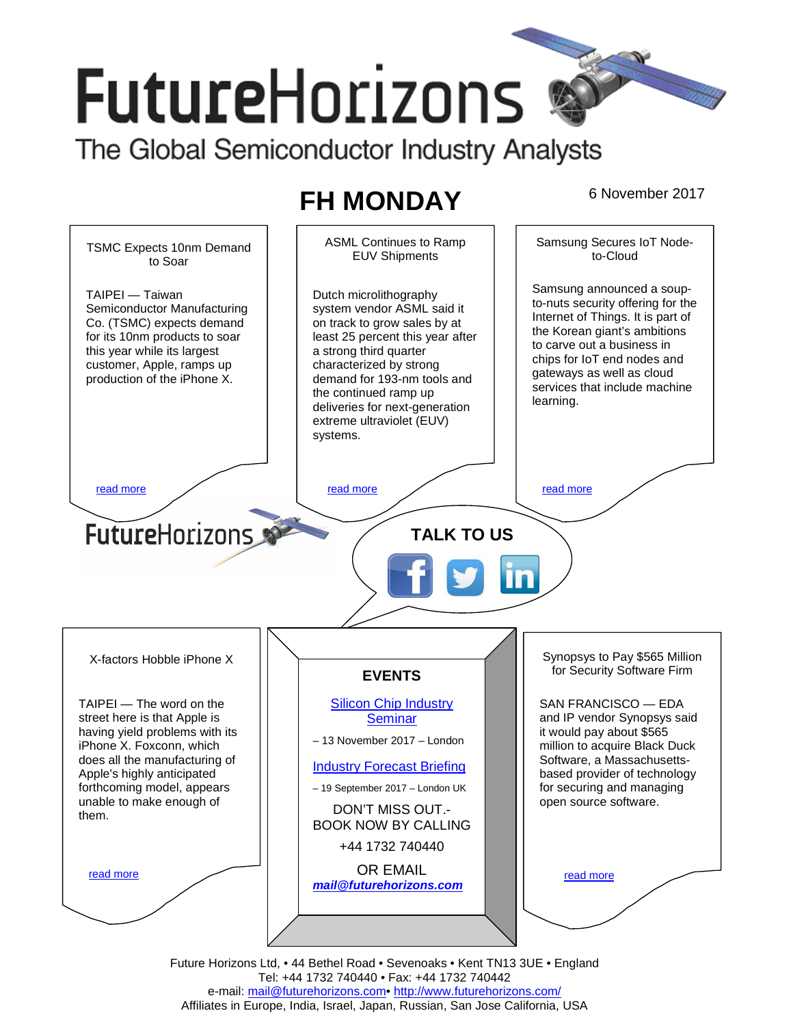# **FutureHorizons**

The Global Semiconductor Industry Analysts

# **FH MONDAY** 6 November 2017



Future Horizons Ltd, • 44 Bethel Road • Sevenoaks • Kent TN13 3UE • England Tel: +44 1732 740440 • Fax: +44 1732 740442 e-mail: mail@futurehorizons.com• http://www.futurehorizons.com/ Affiliates in Europe, India, Israel, Japan, Russian, San Jose California, USA